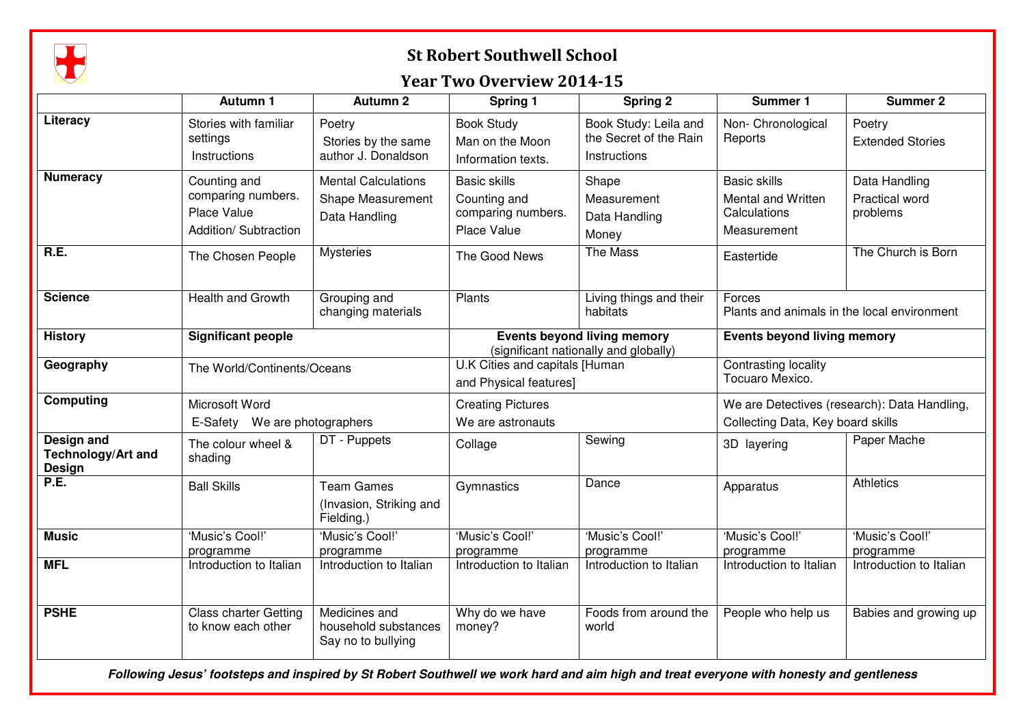

## St Robert Southwell School

## Year Two Overview 2014-15

|                                                                 | <b>Autumn 1</b>                                                            | <b>Autumn 2</b>                                                  | Spring 1                                                                    | Spring 2                                                        | Summer 1                                                                          | <b>Summer 2</b>                                    |
|-----------------------------------------------------------------|----------------------------------------------------------------------------|------------------------------------------------------------------|-----------------------------------------------------------------------------|-----------------------------------------------------------------|-----------------------------------------------------------------------------------|----------------------------------------------------|
| Literacy                                                        | Stories with familiar<br>settings<br>Instructions                          | Poetry<br>Stories by the same<br>author J. Donaldson             | <b>Book Study</b><br>Man on the Moon<br>Information texts.                  | Book Study: Leila and<br>the Secret of the Rain<br>Instructions | Non- Chronological<br>Reports                                                     | Poetry<br><b>Extended Stories</b>                  |
| <b>Numeracy</b>                                                 | Counting and<br>comparing numbers.<br>Place Value<br>Addition/ Subtraction | <b>Mental Calculations</b><br>Shape Measurement<br>Data Handling | <b>Basic skills</b><br>Counting and<br>comparing numbers.<br>Place Value    | Shape<br>Measurement<br>Data Handling<br>Money                  | <b>Basic skills</b><br>Mental and Written<br>Calculations<br>Measurement          | Data Handling<br><b>Practical word</b><br>problems |
| R.E.                                                            | The Chosen People                                                          | <b>Mysteries</b>                                                 | The Good News                                                               | The Mass                                                        | Eastertide                                                                        | The Church is Born                                 |
| <b>Science</b>                                                  | Health and Growth                                                          | Grouping and<br>changing materials                               | Plants                                                                      | Living things and their<br>habitats                             | Forces<br>Plants and animals in the local environment                             |                                                    |
| <b>History</b>                                                  | <b>Significant people</b>                                                  |                                                                  | <b>Events beyond living memory</b><br>(significant nationally and globally) |                                                                 | <b>Events beyond living memory</b>                                                |                                                    |
| Geography                                                       | The World/Continents/Oceans                                                |                                                                  | U.K Cities and capitals [Human<br>and Physical features]                    |                                                                 | <b>Contrasting locality</b><br>Tocuaro Mexico.                                    |                                                    |
| Computing                                                       | Microsoft Word<br>E-Safety We are photographers                            |                                                                  | <b>Creating Pictures</b><br>We are astronauts                               |                                                                 | We are Detectives (research): Data Handling,<br>Collecting Data, Key board skills |                                                    |
| <b>Design and</b><br><b>Technology/Art and</b><br><b>Design</b> | The colour wheel &<br>shading                                              | DT - Puppets                                                     | Collage                                                                     | Sewing                                                          | 3D layering                                                                       | Paper Mache                                        |
| P.E.                                                            | <b>Ball Skills</b>                                                         | <b>Team Games</b><br>(Invasion, Striking and<br>Fielding.)       | Gymnastics                                                                  | Dance                                                           | Apparatus                                                                         | <b>Athletics</b>                                   |
| <b>Music</b>                                                    | 'Music's Cool!'<br>programme                                               | 'Music's Cool!'<br>programme                                     | 'Music's Cool!'<br>programme                                                | 'Music's Cool!'<br>programme                                    | 'Music's Cool!'<br>programme                                                      | 'Music's Cool!'<br>programme                       |
| <b>MFL</b>                                                      | Introduction to Italian                                                    | Introduction to Italian                                          | Introduction to Italian                                                     | Introduction to Italian                                         | Introduction to Italian                                                           | Introduction to Italian                            |
| <b>PSHE</b>                                                     | <b>Class charter Getting</b><br>to know each other                         | Medicines and<br>household substances<br>Say no to bullying      | Why do we have<br>money?                                                    | Foods from around the<br>world                                  | People who help us                                                                | Babies and growing up                              |

**Following Jesus' footsteps and inspired by St Robert Southwell we work hard and aim high and treat everyone with honesty and gentleness**